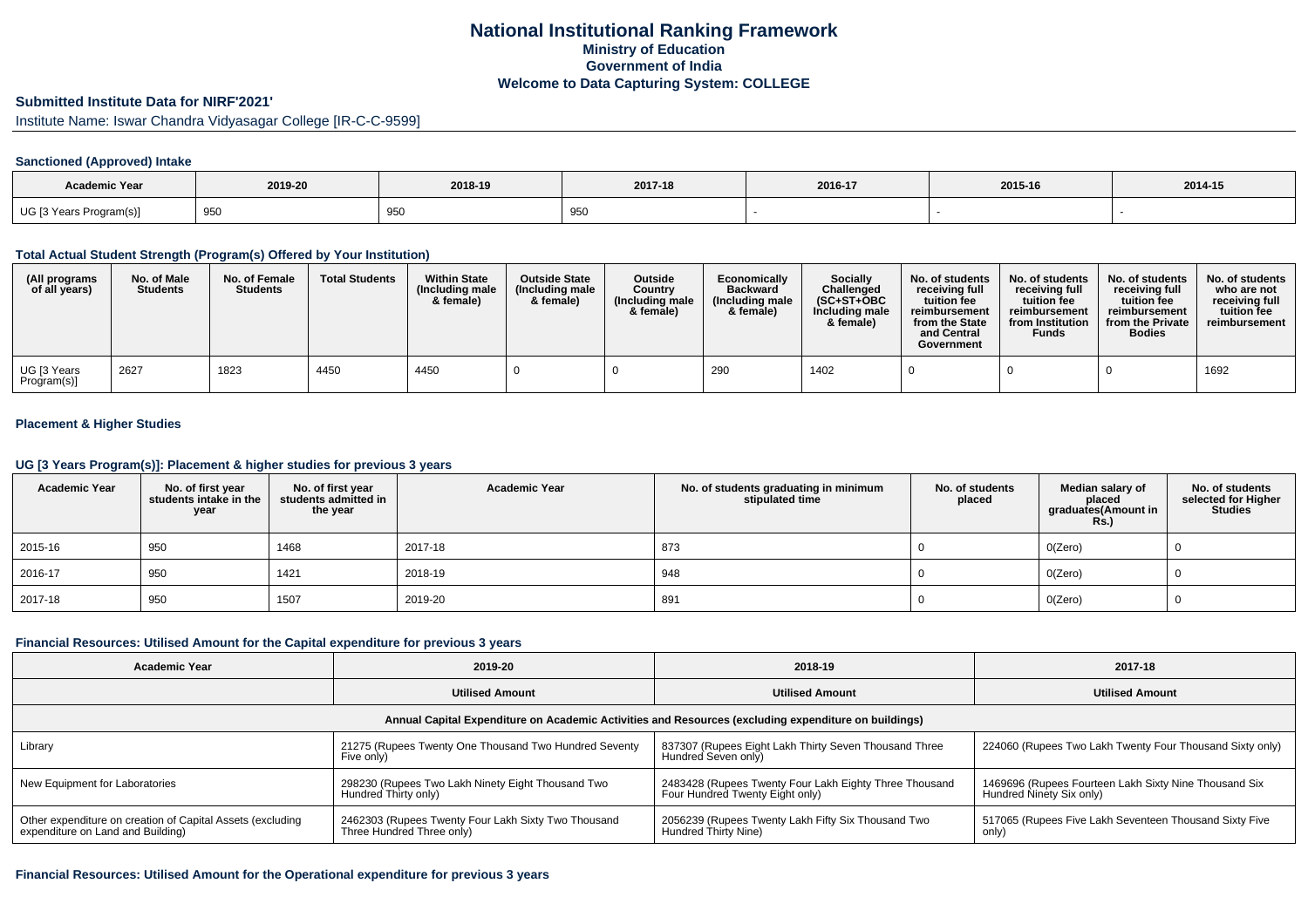## **National Institutional Ranking FrameworkMinistry of Education Government of IndiaWelcome to Data Capturing System: COLLEGE**

## **Submitted Institute Data for NIRF'2021'**

Institute Name: Iswar Chandra Vidyasagar College [IR-C-C-9599]

### **Sanctioned (Approved) Intake**

| <b>Academic Year</b>    | 2019-20 | 2018-19           | 2017-18            | 2016-17 | 2015-16 | 2014-15 |
|-------------------------|---------|-------------------|--------------------|---------|---------|---------|
| UG [3 Years Program(s)] | 950     | Q50<br><u>JJV</u> | - -<br>-950<br>ູບປ |         |         |         |

## **Total Actual Student Strength (Program(s) Offered by Your Institution)**

| (All programs<br>of all years) | No. of Male<br><b>Students</b> | No. of Female<br><b>Students</b> | <b>Total Students</b> | <b>Within State</b><br>(Including male<br>& female) | <b>Outside State</b><br>(Including male<br>& female) | <b>Outside</b><br>Country<br>(Including male<br>& female) | Economically<br><b>Backward</b><br>(Including male<br>& female) | <b>Socially</b><br>Challenged<br>$(SC+ST+OBC)$<br>Including male<br>& female) | No. of students<br>receiving full<br>tuition fee<br>reimbursement<br>from the State<br>and Central<br>Government | No. of students<br>receiving full<br>tuition fee<br>reimbursement<br>from Institution<br><b>Funds</b> | No. of students<br>receiving full<br>tuition fee<br>reimbursement<br>from the Private<br><b>Bodies</b> | No. of students<br>who are not<br>receiving full<br>tuition fee<br>reimbursement |
|--------------------------------|--------------------------------|----------------------------------|-----------------------|-----------------------------------------------------|------------------------------------------------------|-----------------------------------------------------------|-----------------------------------------------------------------|-------------------------------------------------------------------------------|------------------------------------------------------------------------------------------------------------------|-------------------------------------------------------------------------------------------------------|--------------------------------------------------------------------------------------------------------|----------------------------------------------------------------------------------|
| UG [3 Years<br>Program(s)]     | 2627                           | 1823                             | 4450                  | 4450                                                |                                                      |                                                           | 290                                                             | 1402                                                                          |                                                                                                                  |                                                                                                       |                                                                                                        | 1692                                                                             |

## **Placement & Higher Studies**

### **UG [3 Years Program(s)]: Placement & higher studies for previous 3 years**

| <b>Academic Year</b> | No. of first year<br>students intake in the<br>year | No. of first year<br>students admitted in<br>the year | <b>Academic Year</b> | No. of students graduating in minimum<br>stipulated time | No. of students<br>placed | Median salary of<br>placed<br>graduates(Amount in<br><b>Rs.)</b> | No. of students<br>selected for Higher<br><b>Studies</b> |
|----------------------|-----------------------------------------------------|-------------------------------------------------------|----------------------|----------------------------------------------------------|---------------------------|------------------------------------------------------------------|----------------------------------------------------------|
| 2015-16              | 950                                                 | 1468                                                  | 2017-18              | 873                                                      |                           | O(Zero)                                                          |                                                          |
| 2016-17              | 950                                                 | 1421                                                  | 2018-19              | 948                                                      |                           | O(Zero)                                                          |                                                          |
| 2017-18              | 950                                                 | 1507                                                  | 2019-20              | 891                                                      |                           | O(Zero)                                                          |                                                          |

### **Financial Resources: Utilised Amount for the Capital expenditure for previous 3 years**

| <b>Academic Year</b>                                                                            | 2019-20                                                                          | 2018-19                                                                                              | 2017-18                                                                           |  |  |
|-------------------------------------------------------------------------------------------------|----------------------------------------------------------------------------------|------------------------------------------------------------------------------------------------------|-----------------------------------------------------------------------------------|--|--|
|                                                                                                 | <b>Utilised Amount</b>                                                           | <b>Utilised Amount</b>                                                                               | <b>Utilised Amount</b>                                                            |  |  |
|                                                                                                 |                                                                                  | Annual Capital Expenditure on Academic Activities and Resources (excluding expenditure on buildings) |                                                                                   |  |  |
| Library                                                                                         | 21275 (Rupees Twenty One Thousand Two Hundred Seventy<br>Five only)              | 837307 (Rupees Eight Lakh Thirty Seven Thousand Three<br>Hundred Seven only)                         | 224060 (Rupees Two Lakh Twenty Four Thousand Sixty only)                          |  |  |
| New Equipment for Laboratories                                                                  | 298230 (Rupees Two Lakh Ninety Eight Thousand Two<br>Hundred Thirty only)        | 2483428 (Rupees Twenty Four Lakh Eighty Three Thousand<br>Four Hundred Twenty Eight only)            | 1469696 (Rupees Fourteen Lakh Sixty Nine Thousand Six<br>Hundred Ninety Six only) |  |  |
| Other expenditure on creation of Capital Assets (excluding<br>expenditure on Land and Building) | 2462303 (Rupees Twenty Four Lakh Sixty Two Thousand<br>Three Hundred Three only) | 2056239 (Rupees Twenty Lakh Fifty Six Thousand Two<br>Hundred Thirty Nine)                           | 517065 (Rupees Five Lakh Seventeen Thousand Sixty Five<br>only)                   |  |  |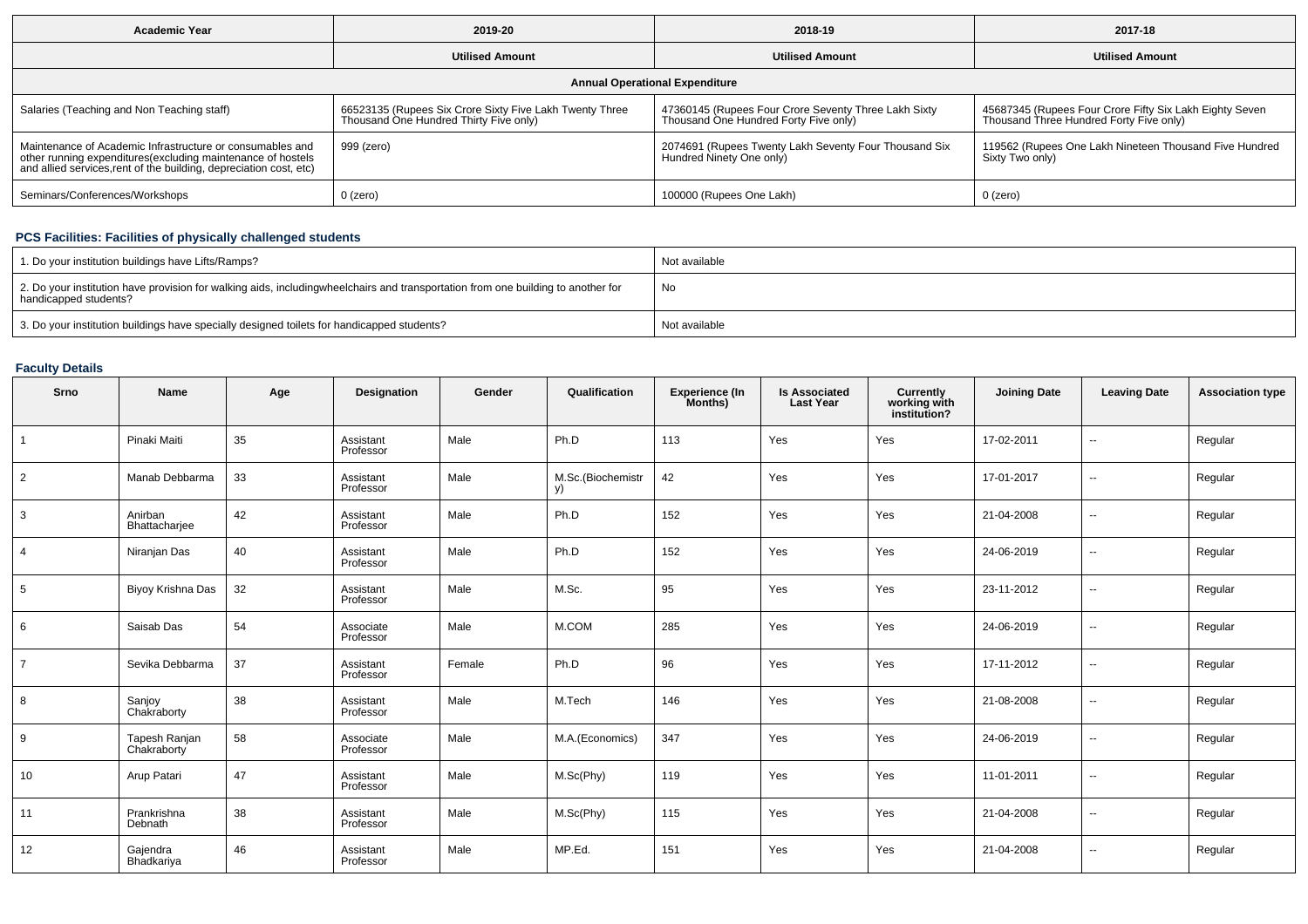| <b>Academic Year</b>                                                                                                                                                                            | 2019-20                                                                                           | 2018-19                                                                                       | 2017-18                                                                                            |  |  |  |  |  |  |  |  |
|-------------------------------------------------------------------------------------------------------------------------------------------------------------------------------------------------|---------------------------------------------------------------------------------------------------|-----------------------------------------------------------------------------------------------|----------------------------------------------------------------------------------------------------|--|--|--|--|--|--|--|--|
|                                                                                                                                                                                                 | <b>Utilised Amount</b>                                                                            | <b>Utilised Amount</b>                                                                        | <b>Utilised Amount</b>                                                                             |  |  |  |  |  |  |  |  |
| <b>Annual Operational Expenditure</b>                                                                                                                                                           |                                                                                                   |                                                                                               |                                                                                                    |  |  |  |  |  |  |  |  |
| Salaries (Teaching and Non Teaching staff)                                                                                                                                                      | 66523135 (Rupees Six Crore Sixty Five Lakh Twenty Three<br>Thousand One Hundred Thirty Five only) | 47360145 (Rupees Four Crore Seventy Three Lakh Sixty<br>Thousand One Hundred Forty Five only) | 45687345 (Rupees Four Crore Fifty Six Lakh Eighty Seven<br>Thousand Three Hundred Forty Five only) |  |  |  |  |  |  |  |  |
| Maintenance of Academic Infrastructure or consumables and<br>other running expenditures (excluding maintenance of hostels<br>and allied services, rent of the building, depreciation cost, etc) | 999 (zero)                                                                                        | 2074691 (Rupees Twenty Lakh Seventy Four Thousand Six<br>Hundred Ninety One only              | 119562 (Rupees One Lakh Nineteen Thousand Five Hundred<br>Sixty Two only)                          |  |  |  |  |  |  |  |  |
| Seminars/Conferences/Workshops                                                                                                                                                                  | $0$ (zero)                                                                                        | 100000 (Rupees One Lakh)                                                                      | 0 (zero)                                                                                           |  |  |  |  |  |  |  |  |

# **PCS Facilities: Facilities of physically challenged students**

| 1. Do your institution buildings have Lifts/Ramps?                                                                                                        | Not available |
|-----------------------------------------------------------------------------------------------------------------------------------------------------------|---------------|
| 2. Do your institution have provision for walking aids, includingwheelchairs and transportation from one building to another for<br>handicapped students? | No            |
| 3. Do your institution buildings have specially designed toilets for handicapped students?                                                                | Not available |

# **Faculty Details**

| Srno           | Name                         | Age | Designation            | Gender | Qualification           | <b>Experience (In</b><br>Months) | <b>Is Associated</b><br><b>Last Year</b> | <b>Currently</b><br>working with<br>institution? | <b>Joining Date</b> | <b>Leaving Date</b>      | <b>Association type</b> |
|----------------|------------------------------|-----|------------------------|--------|-------------------------|----------------------------------|------------------------------------------|--------------------------------------------------|---------------------|--------------------------|-------------------------|
| $\overline{1}$ | Pinaki Maiti                 | 35  | Assistant<br>Professor | Male   | Ph.D                    | 113                              | Yes                                      | Yes                                              | 17-02-2011          | $\overline{\phantom{a}}$ | Regular                 |
| $\overline{2}$ | Manab Debbarma               | 33  | Assistant<br>Professor | Male   | M.Sc.(Biochemistr<br>V) | 42                               | Yes                                      | Yes                                              | 17-01-2017          | $\overline{\phantom{a}}$ | Regular                 |
| 3              | Anirban<br>Bhattacharjee     | 42  | Assistant<br>Professor | Male   | Ph.D                    | 152                              | Yes                                      | Yes                                              | 21-04-2008          | $\overline{\phantom{a}}$ | Regular                 |
| $\overline{4}$ | Niranjan Das                 | 40  | Assistant<br>Professor | Male   | Ph.D                    | 152                              | Yes                                      | Yes                                              | 24-06-2019          | $\overline{\phantom{a}}$ | Regular                 |
| 5              | Biyoy Krishna Das            | 32  | Assistant<br>Professor | Male   | M.Sc.                   | 95                               | Yes                                      | Yes                                              | 23-11-2012          | $\overline{\phantom{a}}$ | Regular                 |
| 6              | Saisab Das                   | 54  | Associate<br>Professor | Male   | M.COM                   | 285                              | Yes                                      | Yes                                              | 24-06-2019          | $\overline{\phantom{a}}$ | Regular                 |
| $\overline{7}$ | Sevika Debbarma              | 37  | Assistant<br>Professor | Female | Ph.D                    | 96                               | Yes                                      | Yes                                              | 17-11-2012          | $\overline{\phantom{a}}$ | Regular                 |
| 8              | Sanjoy<br>Chakraborty        | 38  | Assistant<br>Professor | Male   | M.Tech                  | 146                              | Yes                                      | Yes                                              | 21-08-2008          | $\overline{\phantom{a}}$ | Regular                 |
| 9              | Tapesh Ranjan<br>Chakraborty | 58  | Associate<br>Professor | Male   | M.A.(Economics)         | 347                              | Yes                                      | Yes                                              | 24-06-2019          | $\overline{\phantom{a}}$ | Regular                 |
| 10             | Arup Patari                  | 47  | Assistant<br>Professor | Male   | M.Sc(Phy)               | 119                              | Yes                                      | Yes                                              | 11-01-2011          | $\overline{\phantom{a}}$ | Regular                 |
| 11             | Prankrishna<br>Debnath       | 38  | Assistant<br>Professor | Male   | M.Sc(Phy)               | 115                              | Yes                                      | Yes                                              | 21-04-2008          | $\overline{\phantom{a}}$ | Regular                 |
| 12             | Gajendra<br>Bhadkariya       | 46  | Assistant<br>Professor | Male   | MP.Ed.                  | 151                              | Yes                                      | Yes                                              | 21-04-2008          | $\overline{\phantom{a}}$ | Regular                 |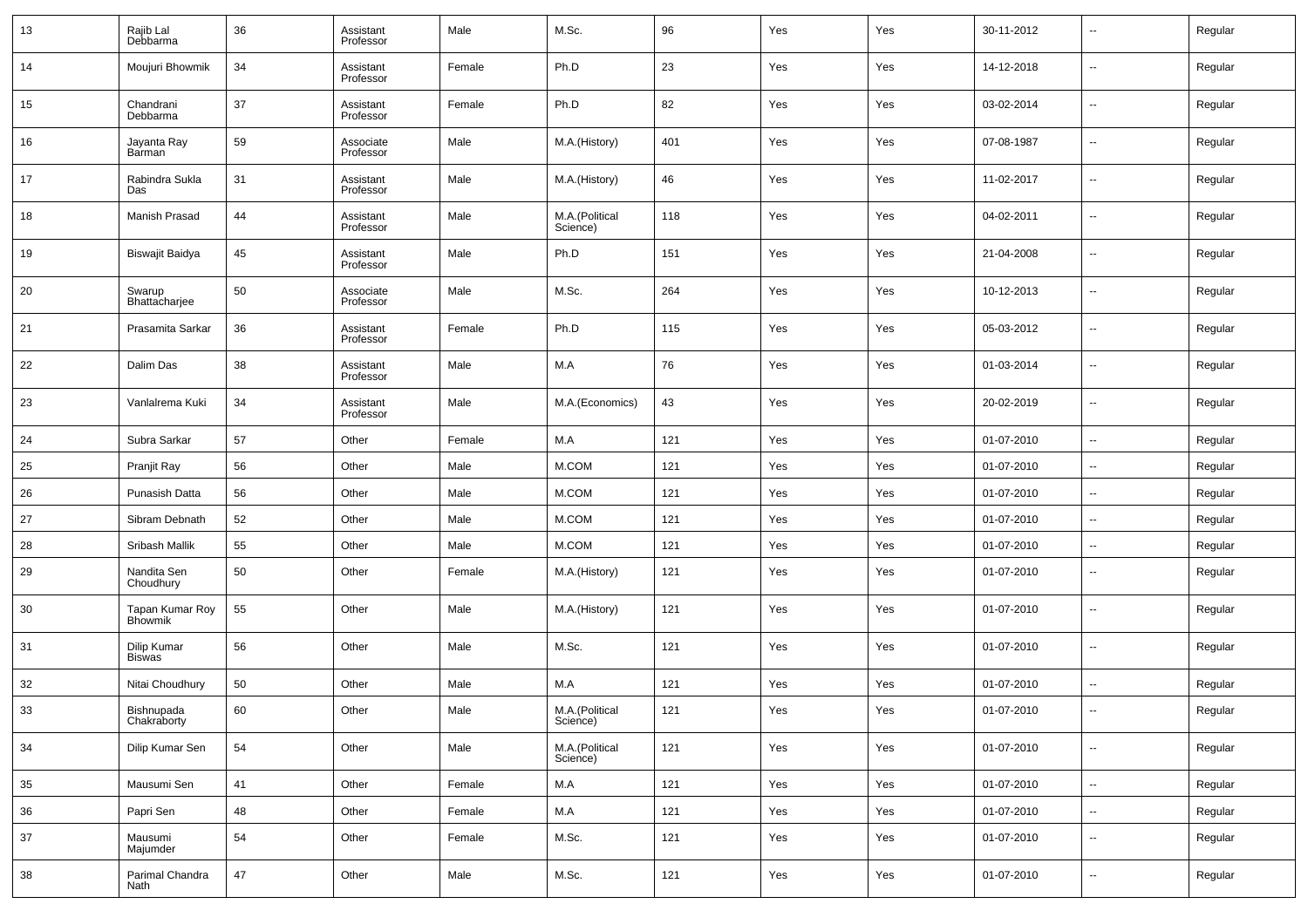| 13 | Rajib Lal<br>Debbarma             | 36 | Assistant<br>Professor | Male   | M.Sc.                      | 96  | Yes | Yes | 30-11-2012 | --                       | Regular |
|----|-----------------------------------|----|------------------------|--------|----------------------------|-----|-----|-----|------------|--------------------------|---------|
| 14 | Moujuri Bhowmik                   | 34 | Assistant<br>Professor | Female | Ph.D                       | 23  | Yes | Yes | 14-12-2018 | --                       | Regular |
| 15 | Chandrani<br>Debbarma             | 37 | Assistant<br>Professor | Female | Ph.D                       | 82  | Yes | Yes | 03-02-2014 | ш.                       | Regular |
| 16 | Jayanta Ray<br>Barman             | 59 | Associate<br>Professor | Male   | M.A.(History)              | 401 | Yes | Yes | 07-08-1987 | --                       | Regular |
| 17 | Rabindra Sukla<br>Das             | 31 | Assistant<br>Professor | Male   | M.A.(History)              | 46  | Yes | Yes | 11-02-2017 | ш.                       | Regular |
| 18 | Manish Prasad                     | 44 | Assistant<br>Professor | Male   | M.A.(Political<br>Science) | 118 | Yes | Yes | 04-02-2011 | --                       | Regular |
| 19 | Biswajit Baidya                   | 45 | Assistant<br>Professor | Male   | Ph.D                       | 151 | Yes | Yes | 21-04-2008 | ш,                       | Regular |
| 20 | Swarup<br>Bhattacharjee           | 50 | Associate<br>Professor | Male   | M.Sc.                      | 264 | Yes | Yes | 10-12-2013 | --                       | Regular |
| 21 | Prasamita Sarkar                  | 36 | Assistant<br>Professor | Female | Ph.D                       | 115 | Yes | Yes | 05-03-2012 | ш,                       | Regular |
| 22 | Dalim Das                         | 38 | Assistant<br>Professor | Male   | M.A                        | 76  | Yes | Yes | 01-03-2014 | --                       | Regular |
| 23 | Vanlalrema Kuki                   | 34 | Assistant<br>Professor | Male   | M.A.(Economics)            | 43  | Yes | Yes | 20-02-2019 | ш,                       | Regular |
| 24 | Subra Sarkar                      | 57 | Other                  | Female | M.A                        | 121 | Yes | Yes | 01-07-2010 | н.                       | Regular |
| 25 | Pranjit Ray                       | 56 | Other                  | Male   | M.COM                      | 121 | Yes | Yes | 01-07-2010 | $\sim$                   | Regular |
| 26 | Punasish Datta                    | 56 | Other                  | Male   | M.COM                      | 121 | Yes | Yes | 01-07-2010 | --                       | Regular |
| 27 | Sibram Debnath                    | 52 | Other                  | Male   | M.COM                      | 121 | Yes | Yes | 01-07-2010 | н.                       | Regular |
| 28 | Sribash Mallik                    | 55 | Other                  | Male   | M.COM                      | 121 | Yes | Yes | 01-07-2010 | --                       | Regular |
| 29 | Nandita Sen<br>Choudhury          | 50 | Other                  | Female | M.A.(History)              | 121 | Yes | Yes | 01-07-2010 | --                       | Regular |
| 30 | Tapan Kumar Roy<br><b>Bhowmik</b> | 55 | Other                  | Male   | M.A.(History)              | 121 | Yes | Yes | 01-07-2010 | --                       | Regular |
| 31 | Dilip Kumar<br><b>Biswas</b>      | 56 | Other                  | Male   | M.Sc.                      | 121 | Yes | Yes | 01-07-2010 | --                       | Regular |
| 32 | Nitai Choudhury                   | 50 | Other                  | Male   | M.A                        | 121 | Yes | Yes | 01-07-2010 | н.                       | Regular |
| 33 | Bishnupada<br>Chakraborty         | 60 | Other                  | Male   | M.A.(Political<br>Science) | 121 | Yes | Yes | 01-07-2010 |                          | Regular |
| 34 | Dilip Kumar Sen                   | 54 | Other                  | Male   | M.A.(Political<br>Science) | 121 | Yes | Yes | 01-07-2010 | ш,                       | Regular |
| 35 | Mausumi Sen                       | 41 | Other                  | Female | M.A                        | 121 | Yes | Yes | 01-07-2010 | $\overline{\phantom{a}}$ | Regular |
| 36 | Papri Sen                         | 48 | Other                  | Female | M.A                        | 121 | Yes | Yes | 01-07-2010 | $\overline{\phantom{a}}$ | Regular |
| 37 | Mausumi<br>Majumder               | 54 | Other                  | Female | M.Sc.                      | 121 | Yes | Yes | 01-07-2010 | н.                       | Regular |
| 38 | Parimal Chandra<br>Nath           | 47 | Other                  | Male   | M.Sc.                      | 121 | Yes | Yes | 01-07-2010 | --                       | Regular |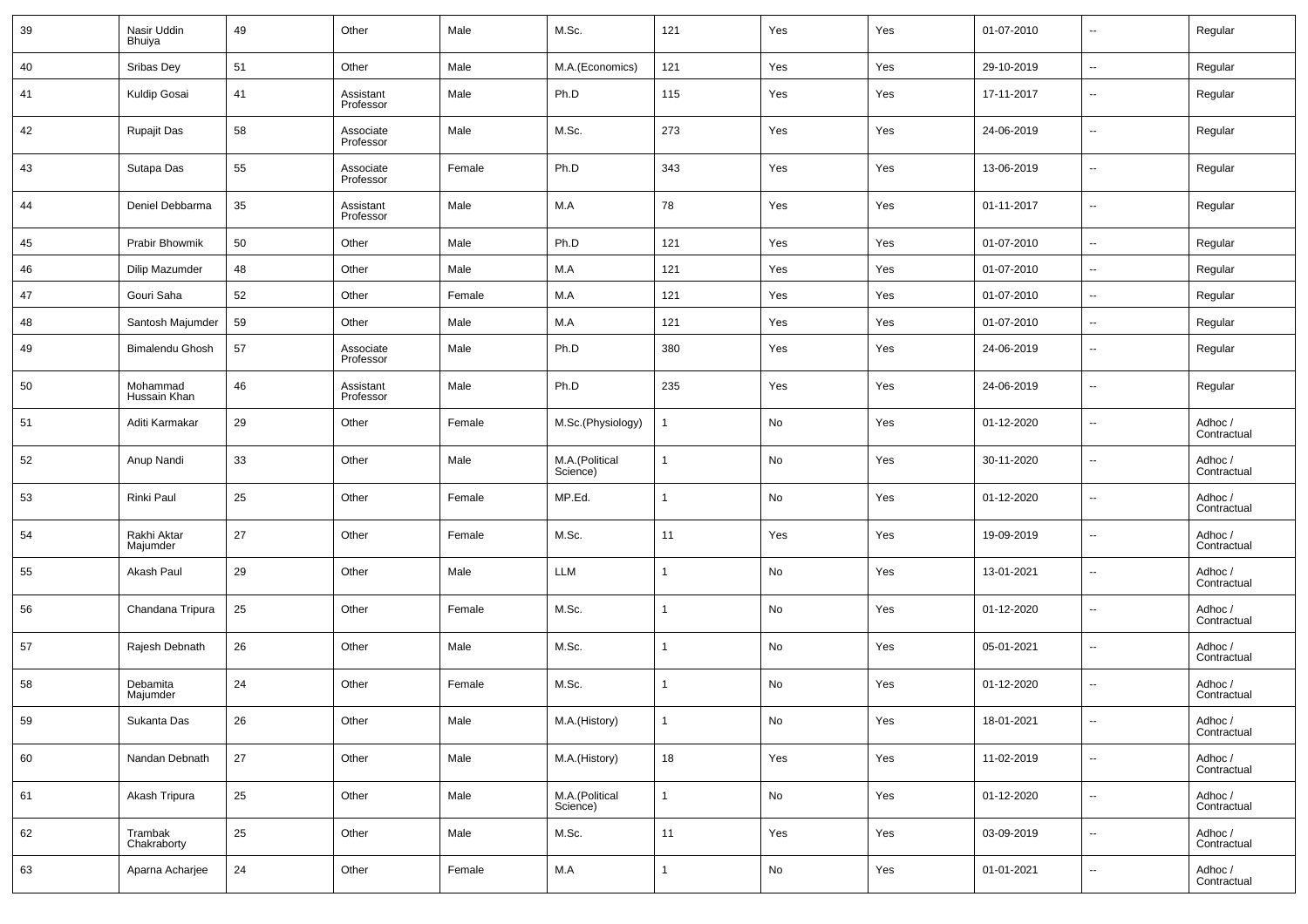| 39 | Nasir Uddin<br>Bhuiya    | 49 | Other                  | Male   | M.Sc.                      | 121            | Yes | Yes | 01-07-2010 | $\overline{\phantom{a}}$ | Regular                |
|----|--------------------------|----|------------------------|--------|----------------------------|----------------|-----|-----|------------|--------------------------|------------------------|
| 40 | Sribas Dey               | 51 | Other                  | Male   | M.A.(Economics)            | 121            | Yes | Yes | 29-10-2019 | $\overline{\phantom{a}}$ | Regular                |
| 41 | Kuldip Gosai             | 41 | Assistant<br>Professor | Male   | Ph.D                       | 115            | Yes | Yes | 17-11-2017 | $\overline{\phantom{a}}$ | Regular                |
| 42 | <b>Rupajit Das</b>       | 58 | Associate<br>Professor | Male   | M.Sc.                      | 273            | Yes | Yes | 24-06-2019 | $\ddotsc$                | Regular                |
| 43 | Sutapa Das               | 55 | Associate<br>Professor | Female | Ph.D                       | 343            | Yes | Yes | 13-06-2019 | $\ddotsc$                | Regular                |
| 44 | Deniel Debbarma          | 35 | Assistant<br>Professor | Male   | M.A                        | 78             | Yes | Yes | 01-11-2017 | $\ddot{\phantom{1}}$     | Regular                |
| 45 | Prabir Bhowmik           | 50 | Other                  | Male   | Ph.D                       | 121            | Yes | Yes | 01-07-2010 | $\sim$                   | Regular                |
| 46 | Dilip Mazumder           | 48 | Other                  | Male   | M.A                        | 121            | Yes | Yes | 01-07-2010 | --                       | Regular                |
| 47 | Gouri Saha               | 52 | Other                  | Female | M.A                        | 121            | Yes | Yes | 01-07-2010 | --                       | Regular                |
| 48 | Santosh Majumder         | 59 | Other                  | Male   | M.A                        | 121            | Yes | Yes | 01-07-2010 | $\overline{\phantom{a}}$ | Regular                |
| 49 | <b>Bimalendu Ghosh</b>   | 57 | Associate<br>Professor | Male   | Ph.D                       | 380            | Yes | Yes | 24-06-2019 | $\overline{\phantom{a}}$ | Regular                |
| 50 | Mohammad<br>Hussain Khan | 46 | Assistant<br>Professor | Male   | Ph.D                       | 235            | Yes | Yes | 24-06-2019 | $\overline{\phantom{a}}$ | Regular                |
| 51 | Aditi Karmakar           | 29 | Other                  | Female | M.Sc.(Physiology)          |                | No  | Yes | 01-12-2020 | $\overline{\phantom{a}}$ | Adhoc /<br>Contractual |
| 52 | Anup Nandi               | 33 | Other                  | Male   | M.A.(Political<br>Science) | -1             | No  | Yes | 30-11-2020 | $\sim$                   | Adhoc /<br>Contractual |
| 53 | Rinki Paul               | 25 | Other                  | Female | MP.Ed.                     | -1             | No  | Yes | 01-12-2020 | $\overline{\phantom{a}}$ | Adhoc /<br>Contractual |
| 54 | Rakhi Aktar<br>Majumder  | 27 | Other                  | Female | M.Sc.                      | 11             | Yes | Yes | 19-09-2019 | $\overline{\phantom{a}}$ | Adhoc /<br>Contractual |
| 55 | Akash Paul               | 29 | Other                  | Male   | LLM                        |                | No  | Yes | 13-01-2021 | $\ddotsc$                | Adhoc /<br>Contractual |
| 56 | Chandana Tripura         | 25 | Other                  | Female | M.Sc.                      | -1             | No  | Yes | 01-12-2020 | $\sim$                   | Adhoc /<br>Contractual |
| 57 | Rajesh Debnath           | 26 | Other                  | Male   | M.Sc.                      |                | No  | Yes | 05-01-2021 | --                       | Adhoc /<br>Contractual |
| 58 | Debamita<br>Majumder     | 24 | Other                  | Female | M.Sc.                      | -1             | No  | Yes | 01-12-2020 | --                       | Adhoc /<br>Contractual |
| 59 | Sukanta Das              | 26 | Other                  | Male   | M.A.(History)              | -1             | No  | Yes | 18-01-2021 | $\overline{\phantom{a}}$ | Adhoc /<br>Contractual |
| 60 | Nandan Debnath           | 27 | Other                  | Male   | M.A.(History)              | 18             | Yes | Yes | 11-02-2019 | $\ddotsc$                | Adhoc /<br>Contractual |
| 61 | Akash Tripura            | 25 | Other                  | Male   | M.A.(Political<br>Science) | $\overline{1}$ | No  | Yes | 01-12-2020 | $\ddotsc$                | Adhoc /<br>Contractual |
| 62 | Trambak<br>Chakraborty   | 25 | Other                  | Male   | M.Sc.                      | 11             | Yes | Yes | 03-09-2019 | $\overline{\phantom{a}}$ | Adhoc /<br>Contractual |
| 63 | Aparna Acharjee          | 24 | Other                  | Female | $M.A$                      | -1             | No  | Yes | 01-01-2021 | $\overline{\phantom{a}}$ | Adhoc /<br>Contractual |